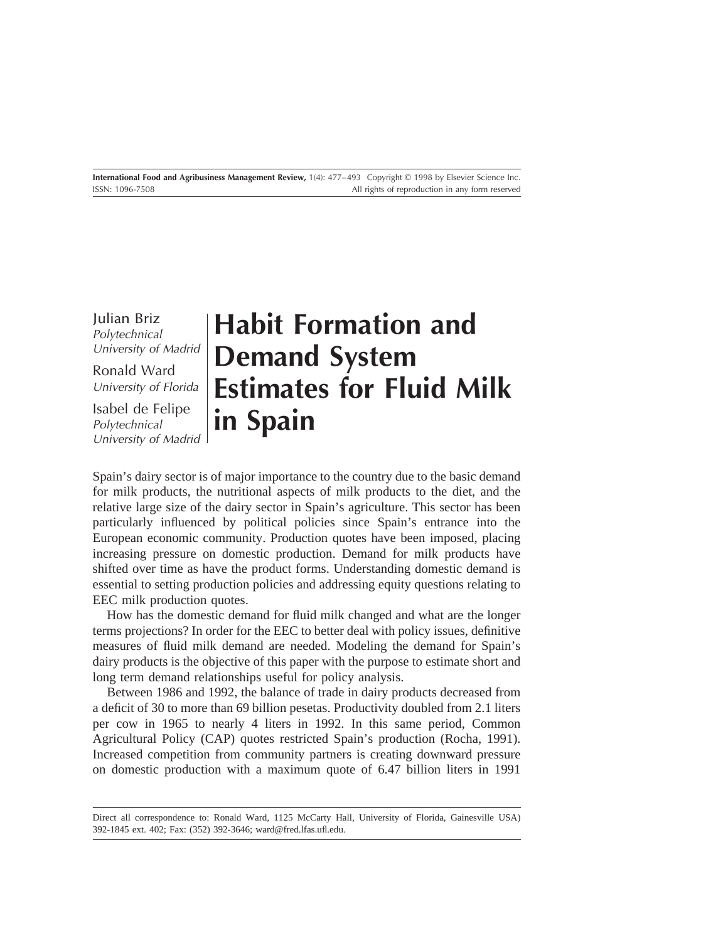Julian Briz Polytechnical University of Madrid

Ronald Ward University of Florida

Isabel de Felipe Polytechnical University of Madrid

# **Habit Formation and Demand System Estimates for Fluid Milk in Spain**

Spain's dairy sector is of major importance to the country due to the basic demand for milk products, the nutritional aspects of milk products to the diet, and the relative large size of the dairy sector in Spain's agriculture. This sector has been particularly influenced by political policies since Spain's entrance into the European economic community. Production quotes have been imposed, placing increasing pressure on domestic production. Demand for milk products have shifted over time as have the product forms. Understanding domestic demand is essential to setting production policies and addressing equity questions relating to EEC milk production quotes.

How has the domestic demand for fluid milk changed and what are the longer terms projections? In order for the EEC to better deal with policy issues, definitive measures of fluid milk demand are needed. Modeling the demand for Spain's dairy products is the objective of this paper with the purpose to estimate short and long term demand relationships useful for policy analysis.

Between 1986 and 1992, the balance of trade in dairy products decreased from a deficit of 30 to more than 69 billion pesetas. Productivity doubled from 2.1 liters per cow in 1965 to nearly 4 liters in 1992. In this same period, Common Agricultural Policy (CAP) quotes restricted Spain's production (Rocha, 1991). Increased competition from community partners is creating downward pressure on domestic production with a maximum quote of 6.47 billion liters in 1991

Direct all correspondence to: Ronald Ward, 1125 McCarty Hall, University of Florida, Gainesville USA) 392-1845 ext. 402; Fax: (352) 392-3646; ward@fred.lfas.ufl.edu.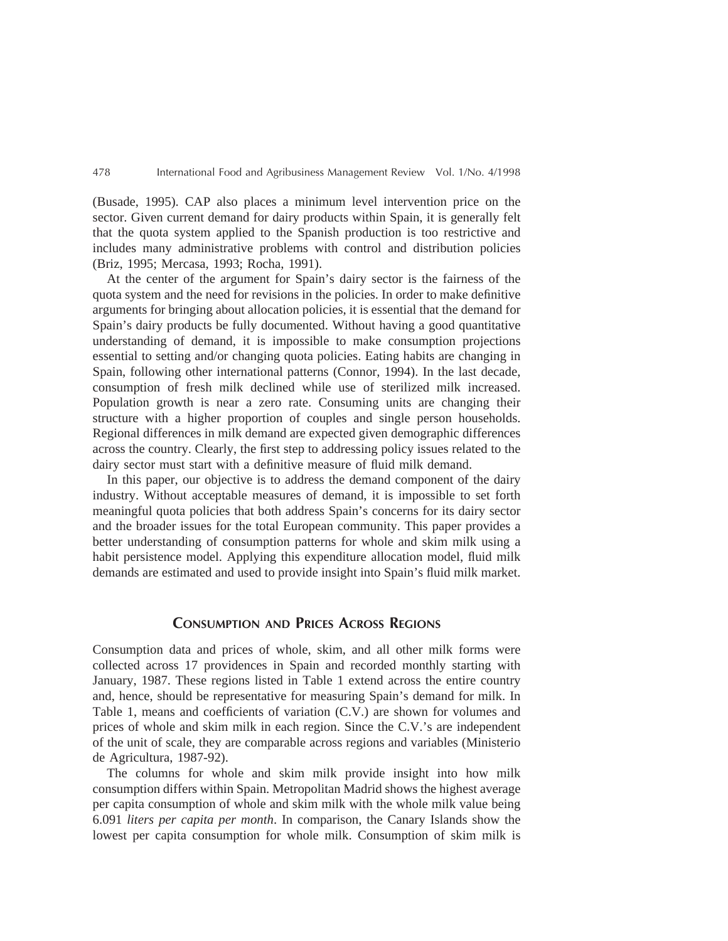(Busade, 1995). CAP also places a minimum level intervention price on the sector. Given current demand for dairy products within Spain, it is generally felt that the quota system applied to the Spanish production is too restrictive and includes many administrative problems with control and distribution policies (Briz, 1995; Mercasa, 1993; Rocha, 1991).

At the center of the argument for Spain's dairy sector is the fairness of the quota system and the need for revisions in the policies. In order to make definitive arguments for bringing about allocation policies, it is essential that the demand for Spain's dairy products be fully documented. Without having a good quantitative understanding of demand, it is impossible to make consumption projections essential to setting and/or changing quota policies. Eating habits are changing in Spain, following other international patterns (Connor, 1994). In the last decade, consumption of fresh milk declined while use of sterilized milk increased. Population growth is near a zero rate. Consuming units are changing their structure with a higher proportion of couples and single person households. Regional differences in milk demand are expected given demographic differences across the country. Clearly, the first step to addressing policy issues related to the dairy sector must start with a definitive measure of fluid milk demand.

In this paper, our objective is to address the demand component of the dairy industry. Without acceptable measures of demand, it is impossible to set forth meaningful quota policies that both address Spain's concerns for its dairy sector and the broader issues for the total European community. This paper provides a better understanding of consumption patterns for whole and skim milk using a habit persistence model. Applying this expenditure allocation model, fluid milk demands are estimated and used to provide insight into Spain's fluid milk market.

#### **CONSUMPTION AND PRICES ACROSS REGIONS**

Consumption data and prices of whole, skim, and all other milk forms were collected across 17 providences in Spain and recorded monthly starting with January, 1987. These regions listed in Table 1 extend across the entire country and, hence, should be representative for measuring Spain's demand for milk. In Table 1, means and coefficients of variation (C.V.) are shown for volumes and prices of whole and skim milk in each region. Since the C.V.'s are independent of the unit of scale, they are comparable across regions and variables (Ministerio de Agricultura, 1987-92).

The columns for whole and skim milk provide insight into how milk consumption differs within Spain. Metropolitan Madrid shows the highest average per capita consumption of whole and skim milk with the whole milk value being 6.091 *liters per capita per month*. In comparison, the Canary Islands show the lowest per capita consumption for whole milk. Consumption of skim milk is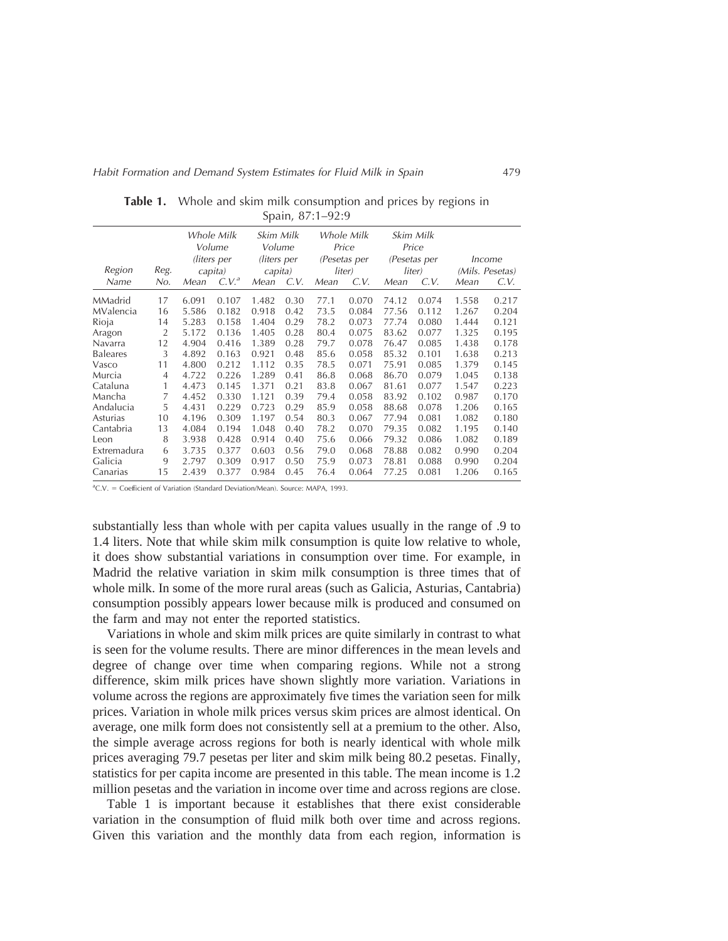| υραπι, υ <i>π</i> . τ-υ <b>∠.</b> υ |                |             |                      |                     |      |              |                     |              |                    |        |                 |
|-------------------------------------|----------------|-------------|----------------------|---------------------|------|--------------|---------------------|--------------|--------------------|--------|-----------------|
|                                     |                |             | Whole Milk<br>Volume | Skim Milk<br>Volume |      |              | Whole Milk<br>Price |              | Skim Milk<br>Price |        |                 |
|                                     |                | (liters per |                      | (liters per         |      | (Pesetas per |                     | (Pesetas per |                    | Income |                 |
| Region                              | Reg.           |             | capita)              | capita)             |      |              | liter)              |              | liter)             |        | (Mils. Pesetas) |
| Name                                | No.            | Mean        | $C.V.^a$             | Mean                | C.V. | Mean         | C.V.                | Mean         | C.V.               | Mean   | C.V.            |
| MMadrid                             | 17             | 6.091       | 0.107                | 1.482               | 0.30 | 77.1         | 0.070               | 74.12        | 0.074              | 1.558  | 0.217           |
| MValencia                           | 16             | 5.586       | 0.182                | 0.918               | 0.42 | 73.5         | 0.084               | 77.56        | 0.112              | 1.267  | 0.204           |
| Rioja                               | 14             | 5.283       | 0.158                | 1.404               | 0.29 | 78.2         | 0.073               | 77.74        | 0.080              | 1.444  | 0.121           |
| Aragon                              | $\overline{2}$ | 5.172       | 0.136                | 1.405               | 0.28 | 80.4         | 0.075               | 83.62        | 0.077              | 1.325  | 0.195           |
| Navarra                             | 12             | 4.904       | 0.416                | 1.389               | 0.28 | 79.7         | 0.078               | 76.47        | 0.085              | 1.438  | 0.178           |
| <b>Baleares</b>                     | 3              | 4.892       | 0.163                | 0.921               | 0.48 | 85.6         | 0.058               | 85.32        | 0.101              | 1.638  | 0.213           |
| Vasco                               | 11             | 4.800       | 0.212                | 1.112               | 0.35 | 78.5         | 0.071               | 75.91        | 0.085              | 1.379  | 0.145           |
| Murcia                              | $\overline{4}$ | 4.722       | 0.226                | 1.289               | 0.41 | 86.8         | 0.068               | 86.70        | 0.079              | 1.045  | 0.138           |
| Cataluna                            | 1              | 4.473       | 0.145                | 1.371               | 0.21 | 83.8         | 0.067               | 81.61        | 0.077              | 1.547  | 0.223           |
| Mancha                              | 7              | 4.452       | 0.330                | 1.121               | 0.39 | 79.4         | 0.058               | 83.92        | 0.102              | 0.987  | 0.170           |
| Andalucia                           | 5              | 4.431       | 0.229                | 0.723               | 0.29 | 85.9         | 0.058               | 88.68        | 0.078              | 1.206  | 0.165           |
| Asturias                            | 10             | 4.196       | 0.309                | 1.197               | 0.54 | 80.3         | 0.067               | 77.94        | 0.081              | 1.082  | 0.180           |
| Cantabria                           | 13             | 4.084       | 0.194                | 1.048               | 0.40 | 78.2         | 0.070               | 79.35        | 0.082              | 1.195  | 0.140           |
| Leon                                | 8              | 3.938       | 0.428                | 0.914               | 0.40 | 75.6         | 0.066               | 79.32        | 0.086              | 1.082  | 0.189           |
| Extremadura                         | 6              | 3.735       | 0.377                | 0.603               | 0.56 | 79.0         | 0.068               | 78.88        | 0.082              | 0.990  | 0.204           |
| Galicia                             | 9              | 2.797       | 0.309                | 0.917               | 0.50 | 75.9         | 0.073               | 78.81        | 0.088              | 0.990  | 0.204           |
| Canarias                            | 15             | 2.439       | 0.377                | 0.984               | 0.45 | 76.4         | 0.064               | 77.25        | 0.081              | 1.206  | 0.165           |

**Table 1.** Whole and skim milk consumption and prices by regions in Spain,  $87.1 - 92.9$ 

<sup>a</sup>C.V. = Coefficient of Variation (Standard Deviation/Mean). Source: MAPA, 1993.

substantially less than whole with per capita values usually in the range of .9 to 1.4 liters. Note that while skim milk consumption is quite low relative to whole, it does show substantial variations in consumption over time. For example, in Madrid the relative variation in skim milk consumption is three times that of whole milk. In some of the more rural areas (such as Galicia, Asturias, Cantabria) consumption possibly appears lower because milk is produced and consumed on the farm and may not enter the reported statistics.

Variations in whole and skim milk prices are quite similarly in contrast to what is seen for the volume results. There are minor differences in the mean levels and degree of change over time when comparing regions. While not a strong difference, skim milk prices have shown slightly more variation. Variations in volume across the regions are approximately five times the variation seen for milk prices. Variation in whole milk prices versus skim prices are almost identical. On average, one milk form does not consistently sell at a premium to the other. Also, the simple average across regions for both is nearly identical with whole milk prices averaging 79.7 pesetas per liter and skim milk being 80.2 pesetas. Finally, statistics for per capita income are presented in this table. The mean income is 1.2 million pesetas and the variation in income over time and across regions are close.

Table 1 is important because it establishes that there exist considerable variation in the consumption of fluid milk both over time and across regions. Given this variation and the monthly data from each region, information is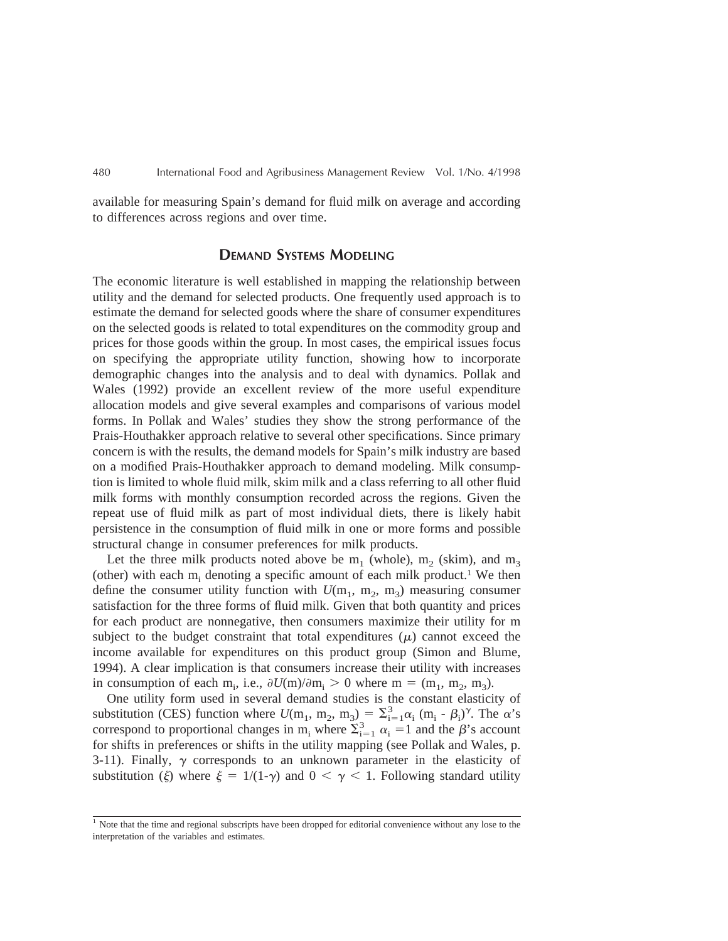available for measuring Spain's demand for fluid milk on average and according to differences across regions and over time.

# **DEMAND SYSTEMS MODELING**

The economic literature is well established in mapping the relationship between utility and the demand for selected products. One frequently used approach is to estimate the demand for selected goods where the share of consumer expenditures on the selected goods is related to total expenditures on the commodity group and prices for those goods within the group. In most cases, the empirical issues focus on specifying the appropriate utility function, showing how to incorporate demographic changes into the analysis and to deal with dynamics. Pollak and Wales (1992) provide an excellent review of the more useful expenditure allocation models and give several examples and comparisons of various model forms. In Pollak and Wales' studies they show the strong performance of the Prais-Houthakker approach relative to several other specifications. Since primary concern is with the results, the demand models for Spain's milk industry are based on a modified Prais-Houthakker approach to demand modeling. Milk consumption is limited to whole fluid milk, skim milk and a class referring to all other fluid milk forms with monthly consumption recorded across the regions. Given the repeat use of fluid milk as part of most individual diets, there is likely habit persistence in the consumption of fluid milk in one or more forms and possible structural change in consumer preferences for milk products.

Let the three milk products noted above be  $m_1$  (whole),  $m_2$  (skim), and  $m_3$ (other) with each  $m_i$  denoting a specific amount of each milk product.<sup>1</sup> We then define the consumer utility function with  $U(m_1, m_2, m_3)$  measuring consumer satisfaction for the three forms of fluid milk. Given that both quantity and prices for each product are nonnegative, then consumers maximize their utility for m subject to the budget constraint that total expenditures  $(\mu)$  cannot exceed the income available for expenditures on this product group (Simon and Blume, 1994). A clear implication is that consumers increase their utility with increases in consumption of each m<sub>i</sub>, i.e.,  $\partial U(m)/\partial m_i > 0$  where m = (m<sub>1</sub>, m<sub>2</sub>, m<sub>3</sub>).

One utility form used in several demand studies is the constant elasticity of substitution (CES) function where  $U(m_1, m_2, m_3) = \sum_{i=1}^3 \alpha_i (m_i - \beta_i)^{\gamma}$ . The  $\alpha$ 's correspond to proportional changes in m<sub>i</sub> where  $\Sigma_{i=1}^3 \alpha_i = 1$  and the  $\beta$ 's account for shifts in preferences or shifts in the utility mapping (see Pollak and Wales, p. 3-11). Finally,  $\gamma$  corresponds to an unknown parameter in the elasticity of substitution ( $\xi$ ) where  $\xi = 1/(1-\gamma)$  and  $0 < \gamma < 1$ . Following standard utility

<sup>&</sup>lt;sup>1</sup> Note that the time and regional subscripts have been dropped for editorial convenience without any lose to the interpretation of the variables and estimates.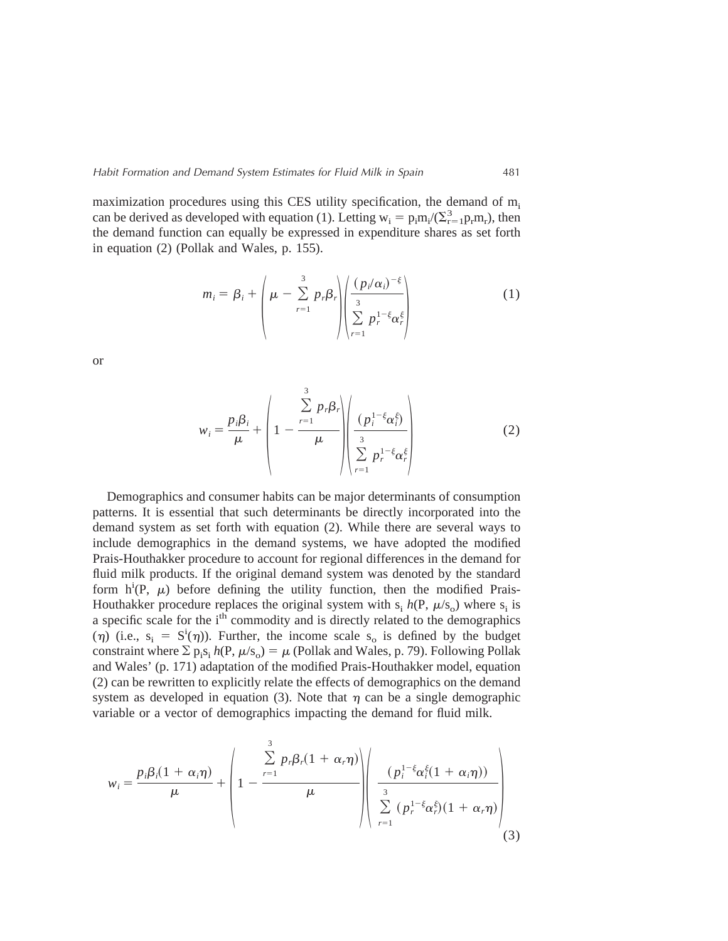maximization procedures using this CES utility specification, the demand of  $m<sub>i</sub>$ can be derived as developed with equation (1). Letting  $w_i = p_i m_i / (\sum_{r=1}^3 p_r m_r)$ , then the demand function can equally be expressed in expenditure shares as set forth in equation (2) (Pollak and Wales, p. 155).

$$
m_i = \beta_i + \left(\mu - \sum_{r=1}^3 p_r \beta_r \right) \left( \frac{(p_i/\alpha_i)^{-\xi}}{\sum_{r=1}^3 p_r^{1-\xi} \alpha_r^{\xi}} \right)
$$
 (1)

or

$$
w_i = \frac{p_i \beta_i}{\mu} + \left(1 - \frac{\sum\limits_{r=1}^3 p_r \beta_r}{\mu}\right) \left(\frac{\left(p_i^{1-\xi} \alpha_i^{\xi}\right)}{\sum\limits_{r=1}^3 p_r^{1-\xi} \alpha_r^{\xi}}\right) \tag{2}
$$

Demographics and consumer habits can be major determinants of consumption patterns. It is essential that such determinants be directly incorporated into the demand system as set forth with equation (2). While there are several ways to include demographics in the demand systems, we have adopted the modified Prais-Houthakker procedure to account for regional differences in the demand for fluid milk products. If the original demand system was denoted by the standard form  $h^{i}(P, \mu)$  before defining the utility function, then the modified Prais-Houthakker procedure replaces the original system with  $s_i$   $h(P, \mu/s_o)$  where  $s_i$  is a specific scale for the  $i<sup>th</sup>$  commodity and is directly related to the demographics ( $\eta$ ) (i.e.,  $s_i = S^i(\eta)$ ). Further, the income scale  $s_o$  is defined by the budget constraint where  $\sum p_i s_i h(P, \mu/s_o) = \mu$  (Pollak and Wales, p. 79). Following Pollak and Wales' (p. 171) adaptation of the modified Prais-Houthakker model, equation (2) can be rewritten to explicitly relate the effects of demographics on the demand system as developed in equation (3). Note that  $\eta$  can be a single demographic variable or a vector of demographics impacting the demand for fluid milk.

$$
w_i = \frac{p_i \beta_i (1 + \alpha_i \eta)}{\mu} + \left(1 - \frac{\sum\limits_{r=1}^3 p_r \beta_r (1 + \alpha_r \eta)}{\mu}\right) \left( \frac{\left(p_i^{1-\xi} \alpha_i^{\xi} (1 + \alpha_i \eta)\right)}{\sum\limits_{r=1}^3 \left(p_r^{1-\xi} \alpha_r^{\xi}\right) (1 + \alpha_r \eta)}\right)
$$
(3)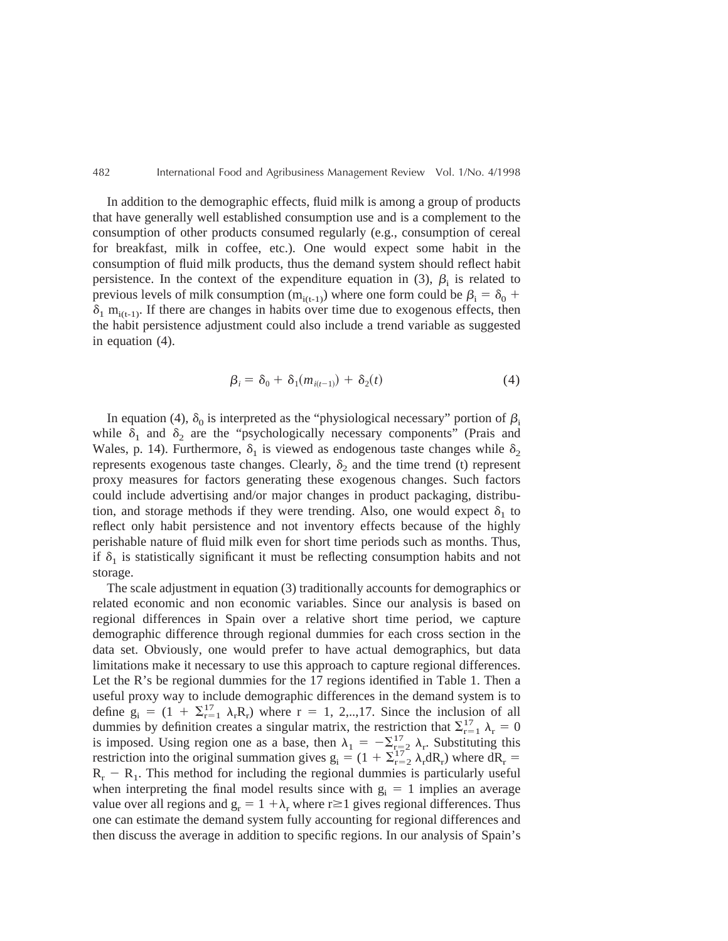In addition to the demographic effects, fluid milk is among a group of products that have generally well established consumption use and is a complement to the consumption of other products consumed regularly (e.g., consumption of cereal for breakfast, milk in coffee, etc.). One would expect some habit in the consumption of fluid milk products, thus the demand system should reflect habit persistence. In the context of the expenditure equation in (3),  $\beta_i$  is related to previous levels of milk consumption ( $m_{i(t-1)}$ ) where one form could be  $\beta_i = \delta_0 +$  $\delta_1$  m<sub>i(t-1)</sub>. If there are changes in habits over time due to exogenous effects, then the habit persistence adjustment could also include a trend variable as suggested in equation (4).

$$
\beta_i = \delta_0 + \delta_1(m_{i(t-1)}) + \delta_2(t) \tag{4}
$$

In equation (4),  $\delta_0$  is interpreted as the "physiological necessary" portion of  $\beta_i$ while  $\delta_1$  and  $\delta_2$  are the "psychologically necessary components" (Prais and Wales, p. 14). Furthermore,  $\delta_1$  is viewed as endogenous taste changes while  $\delta_2$ represents exogenous taste changes. Clearly,  $\delta_2$  and the time trend (t) represent proxy measures for factors generating these exogenous changes. Such factors could include advertising and/or major changes in product packaging, distribution, and storage methods if they were trending. Also, one would expect  $\delta_1$  to reflect only habit persistence and not inventory effects because of the highly perishable nature of fluid milk even for short time periods such as months. Thus, if  $\delta_1$  is statistically significant it must be reflecting consumption habits and not storage.

The scale adjustment in equation (3) traditionally accounts for demographics or related economic and non economic variables. Since our analysis is based on regional differences in Spain over a relative short time period, we capture demographic difference through regional dummies for each cross section in the data set. Obviously, one would prefer to have actual demographics, but data limitations make it necessary to use this approach to capture regional differences. Let the R's be regional dummies for the 17 regions identified in Table 1. Then a useful proxy way to include demographic differences in the demand system is to define  $g_i = (1 + \sum_{r=1}^{17} \lambda_r R_r)$  where  $r = 1, 2, ..., 17$ . Since the inclusion of all dummies by definition creates a singular matrix, the restriction that  $\Sigma_{r=1}^{17} \lambda_r = 0$ is imposed. Using region one as a base, then  $\lambda_1 = -\sum_{r=2}^{17} \lambda_r$ . Substituting this restriction into the original summation gives  $g_i = (1 + \sum_{r=2}^{17} \lambda_r dR_r)$  where  $dR_r =$  $R_r - R_1$ . This method for including the regional dummies is particularly useful when interpreting the final model results since with  $g_i = 1$  implies an average value over all regions and  $g_r = 1 + \lambda_r$ , where r is 1 gives regional differences. Thus one can estimate the demand system fully accounting for regional differences and then discuss the average in addition to specific regions. In our analysis of Spain's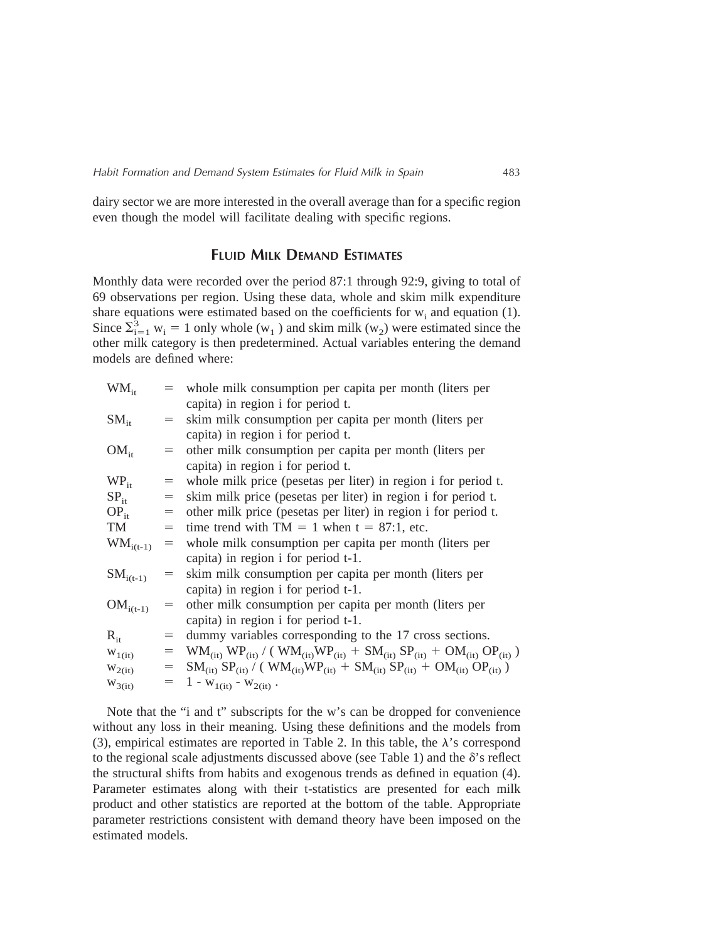dairy sector we are more interested in the overall average than for a specific region even though the model will facilitate dealing with specific regions.

# **FLUID MILK DEMAND ESTIMATES**

Monthly data were recorded over the period 87:1 through 92:9, giving to total of 69 observations per region. Using these data, whole and skim milk expenditure share equations were estimated based on the coefficients for  $w_i$  and equation (1). Since  $\Sigma_{i=1}^3$  w<sub>i</sub> = 1 only whole (w<sub>1</sub>) and skim milk (w<sub>2</sub>) were estimated since the other milk category is then predetermined. Actual variables entering the demand models are defined where:

| $WM_{it}$     | $=$ | whole milk consumption per capita per month (liters per                                                                                           |
|---------------|-----|---------------------------------------------------------------------------------------------------------------------------------------------------|
|               |     | capita) in region i for period t.                                                                                                                 |
| $SM_{it}$     | $=$ | skim milk consumption per capita per month (liters per                                                                                            |
|               |     | capita) in region i for period t.                                                                                                                 |
| $OM_{it}$     | $=$ | other milk consumption per capita per month (liters per                                                                                           |
|               |     | capita) in region i for period t.                                                                                                                 |
| $WP_{it}$     | $=$ | whole milk price (pesetas per liter) in region i for period t.                                                                                    |
| $SP_{it}$     | $=$ | skim milk price (pesetas per liter) in region i for period t.                                                                                     |
| $OP_{it}$     | $=$ | other milk price (pesetas per liter) in region i for period t.                                                                                    |
| TM            | $=$ | time trend with $TM = 1$ when $t = 87:1$ , etc.                                                                                                   |
| $WM_{i(t-1)}$ | $=$ | whole milk consumption per capita per month (liters per                                                                                           |
|               |     | capita) in region i for period t-1.                                                                                                               |
| $SM_{i(t-1)}$ | $=$ | skim milk consumption per capita per month (liters per                                                                                            |
|               |     | capita) in region i for period t-1.                                                                                                               |
| $OM_{i(t-1)}$ | $=$ | other milk consumption per capita per month (liters per                                                                                           |
|               |     | capita) in region i for period t-1.                                                                                                               |
| $R_{it}$      | $=$ | dummy variables corresponding to the 17 cross sections.                                                                                           |
| $W_{1(it)}$   | $=$ | $WM_{(it)} WP_{(it)} / (WM_{(it)}WP_{(it)} + SM_{(it)} SP_{(it)} + OM_{(it)} OP_{(it)})$                                                          |
| $W_{2(it)}$   | $=$ | $SM_{\text{(it)}} SP_{\text{(it)}} / (WM_{\text{(it)}} WP_{\text{(it)}} + SM_{\text{(it)}} SP_{\text{(it)}} + OM_{\text{(it)}} OP_{\text{(it)}})$ |
| $W_{3(it)}$   |     | $= 1 - W_{1(it)} - W_{2(it)}$ .                                                                                                                   |
|               |     |                                                                                                                                                   |

Note that the "i and t" subscripts for the w's can be dropped for convenience without any loss in their meaning. Using these definitions and the models from (3), empirical estimates are reported in Table 2. In this table, the  $\lambda$ 's correspond to the regional scale adjustments discussed above (see Table 1) and the  $\delta$ 's reflect the structural shifts from habits and exogenous trends as defined in equation (4). Parameter estimates along with their t-statistics are presented for each milk product and other statistics are reported at the bottom of the table. Appropriate parameter restrictions consistent with demand theory have been imposed on the estimated models.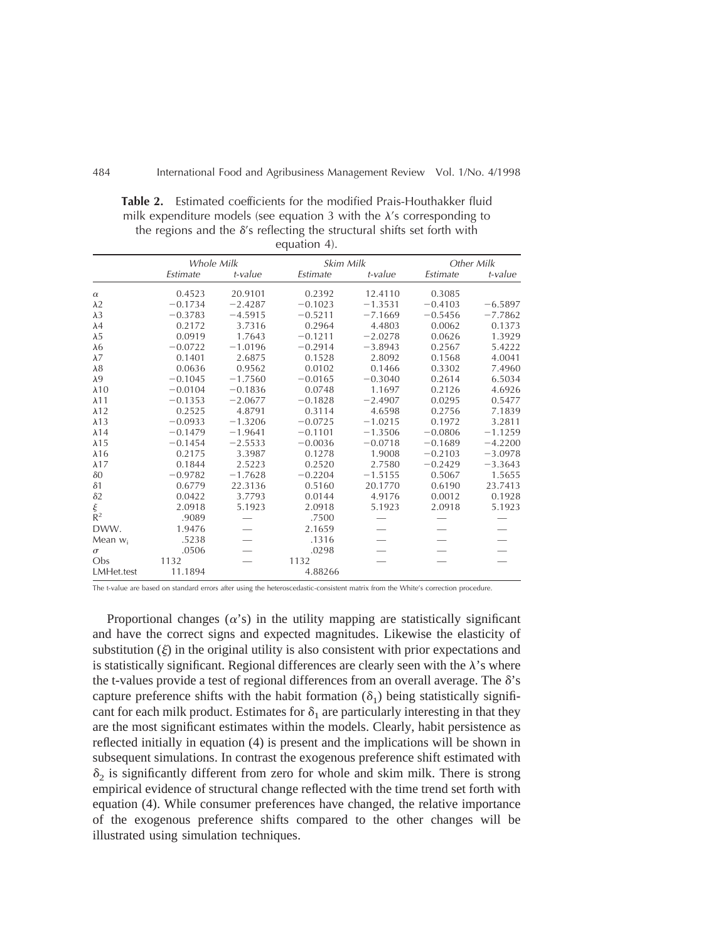|                        | Whole Milk |           | Skim Milk |           | Other Milk |           |
|------------------------|------------|-----------|-----------|-----------|------------|-----------|
|                        | Estimate   | t-value   | Estimate  | t-value   | Estimate   | t-value   |
| $\alpha$               | 0.4523     | 20.9101   | 0.2392    | 12.4110   | 0.3085     |           |
| $\lambda$ 2            | $-0.1734$  | $-2.4287$ | $-0.1023$ | $-1.3531$ | $-0.4103$  | $-6.5897$ |
| $\lambda$ <sub>3</sub> | $-0.3783$  | $-4.5915$ | $-0.5211$ | $-7.1669$ | $-0.5456$  | $-7.7862$ |
| $\lambda$ 4            | 0.2172     | 3.7316    | 0.2964    | 4.4803    | 0.0062     | 0.1373    |
| $\lambda$ 5            | 0.0919     | 1.7643    | $-0.1211$ | $-2.0278$ | 0.0626     | 1.3929    |
| $\lambda$ 6            | $-0.0722$  | $-1.0196$ | $-0.2914$ | $-3.8943$ | 0.2567     | 5.4222    |
| $\lambda$ 7            | 0.1401     | 2.6875    | 0.1528    | 2.8092    | 0.1568     | 4.0041    |
| $\lambda8$             | 0.0636     | 0.9562    | 0.0102    | 0.1466    | 0.3302     | 7.4960    |
| $\lambda$ 9            | $-0.1045$  | $-1.7560$ | $-0.0165$ | $-0.3040$ | 0.2614     | 6.5034    |
| $\lambda$ 10           | $-0.0104$  | $-0.1836$ | 0.0748    | 1.1697    | 0.2126     | 4.6926    |
| $\lambda$ 11           | $-0.1353$  | $-2.0677$ | $-0.1828$ | $-2.4907$ | 0.0295     | 0.5477    |
| $\lambda$ 12           | 0.2525     | 4.8791    | 0.3114    | 4.6598    | 0.2756     | 7.1839    |
| $\lambda$ 13           | $-0.0933$  | $-1.3206$ | $-0.0725$ | $-1.0215$ | 0.1972     | 3.2811    |
| $\lambda$ 14           | $-0.1479$  | $-1.9641$ | $-0.1101$ | $-1.3506$ | $-0.0806$  | $-1.1259$ |
| $\lambda$ 15           | $-0.1454$  | $-2.5533$ | $-0.0036$ | $-0.0718$ | $-0.1689$  | $-4.2200$ |
| $\lambda$ 16           | 0.2175     | 3.3987    | 0.1278    | 1.9008    | $-0.2103$  | $-3.0978$ |
| $\lambda$ 17           | 0.1844     | 2.5223    | 0.2520    | 2.7580    | $-0.2429$  | $-3.3643$ |
| $\delta 0$             | $-0.9782$  | $-1.7628$ | $-0.2204$ | $-1.5155$ | 0.5067     | 1.5655    |
| $\delta$ 1             | 0.6779     | 22.3136   | 0.5160    | 20.1770   | 0.6190     | 23.7413   |
| $\delta$ <sub>2</sub>  | 0.0422     | 3.7793    | 0.0144    | 4.9176    | 0.0012     | 0.1928    |
| $\xi$<br>$R^2$         | 2.0918     | 5.1923    | 2.0918    | 5.1923    | 2.0918     | 5.1923    |
|                        | .9089      |           | .7500     |           |            |           |
| DWW.                   | 1.9476     |           | 2.1659    |           |            |           |
| Mean w <sub>i</sub>    | .5238      |           | .1316     |           |            |           |
| $\sigma$               | .0506      |           | .0298     |           |            |           |
| Obs                    | 1132       |           | 1132      |           |            |           |
| LMHet.test             | 11.1894    |           | 4.88266   |           |            |           |

**Table 2.** Estimated coefficients for the modified Prais-Houthakker fluid milk expenditure models (see equation 3 with the  $\lambda$ 's corresponding to the regions and the  $\delta$ 's reflecting the structural shifts set forth with equation 4).

The t-value are based on standard errors after using the heteroscedastic-consistent matrix from the White's correction procedure.

Proportional changes  $(\alpha's)$  in the utility mapping are statistically significant and have the correct signs and expected magnitudes. Likewise the elasticity of substitution  $(\xi)$  in the original utility is also consistent with prior expectations and is statistically significant. Regional differences are clearly seen with the  $\lambda$ 's where the t-values provide a test of regional differences from an overall average. The  $\delta$ 's capture preference shifts with the habit formation  $(\delta_1)$  being statistically significant for each milk product. Estimates for  $\delta_1$  are particularly interesting in that they are the most significant estimates within the models. Clearly, habit persistence as reflected initially in equation (4) is present and the implications will be shown in subsequent simulations. In contrast the exogenous preference shift estimated with  $\delta_2$  is significantly different from zero for whole and skim milk. There is strong empirical evidence of structural change reflected with the time trend set forth with equation (4). While consumer preferences have changed, the relative importance of the exogenous preference shifts compared to the other changes will be illustrated using simulation techniques.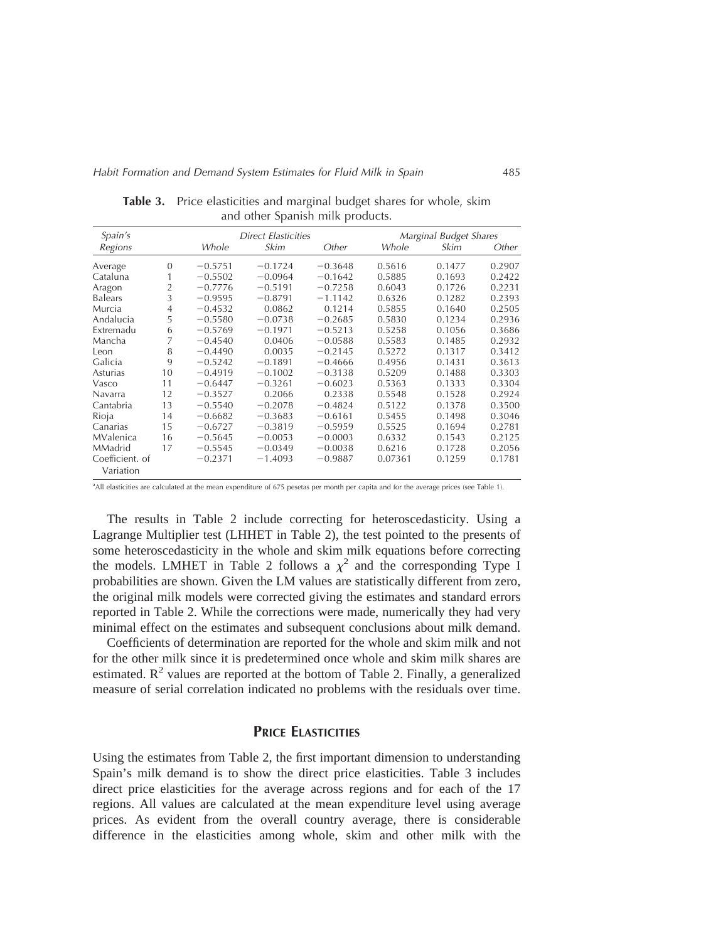| Spain's                      |          |           | Direct Elasticities |           |         | Marginal Budget Shares |        |  |  |
|------------------------------|----------|-----------|---------------------|-----------|---------|------------------------|--------|--|--|
| Regions                      |          | Whole     | Skim                | Other     | Whole   | <b>Skim</b>            | Other  |  |  |
| Average                      | $\Omega$ | $-0.5751$ | $-0.1724$           | $-0.3648$ | 0.5616  | 0.1477                 | 0.2907 |  |  |
| Cataluna                     |          | $-0.5502$ | $-0.0964$           | $-0.1642$ | 0.5885  | 0.1693                 | 0.2422 |  |  |
| Aragon                       | 2        | $-0.7776$ | $-0.5191$           | $-0.7258$ | 0.6043  | 0.1726                 | 0.2231 |  |  |
| <b>Balears</b>               | 3        | $-0.9595$ | $-0.8791$           | $-1.1142$ | 0.6326  | 0.1282                 | 0.2393 |  |  |
| Murcia                       | 4        | $-0.4532$ | 0.0862              | 0.1214    | 0.5855  | 0.1640                 | 0.2505 |  |  |
| Andalucia                    | 5        | $-0.5580$ | $-0.0738$           | $-0.2685$ | 0.5830  | 0.1234                 | 0.2936 |  |  |
| Extremadu                    | 6        | $-0.5769$ | $-0.1971$           | $-0.5213$ | 0.5258  | 0.1056                 | 0.3686 |  |  |
| Mancha                       | 7        | $-0.4540$ | 0.0406              | $-0.0588$ | 0.5583  | 0.1485                 | 0.2932 |  |  |
| Leon                         | 8        | $-0.4490$ | 0.0035              | $-0.2145$ | 0.5272  | 0.1317                 | 0.3412 |  |  |
| Galicia                      | 9        | $-0.5242$ | $-0.1891$           | $-0.4666$ | 0.4956  | 0.1431                 | 0.3613 |  |  |
| <b>Asturias</b>              | 10       | $-0.4919$ | $-0.1002$           | $-0.3138$ | 0.5209  | 0.1488                 | 0.3303 |  |  |
| Vasco                        | 11       | $-0.6447$ | $-0.3261$           | $-0.6023$ | 0.5363  | 0.1333                 | 0.3304 |  |  |
| Navarra                      | 12       | $-0.3527$ | 0.2066              | 0.2338    | 0.5548  | 0.1528                 | 0.2924 |  |  |
| Cantabria                    | 13       | $-0.5540$ | $-0.2078$           | $-0.4824$ | 0.5122  | 0.1378                 | 0.3500 |  |  |
| Rioja                        | 14       | $-0.6682$ | $-0.3683$           | $-0.6161$ | 0.5455  | 0.1498                 | 0.3046 |  |  |
| Canarias                     | 15       | $-0.6727$ | $-0.3819$           | $-0.5959$ | 0.5525  | 0.1694                 | 0.2781 |  |  |
| MValenica                    | 16       | $-0.5645$ | $-0.0053$           | $-0.0003$ | 0.6332  | 0.1543                 | 0.2125 |  |  |
| MMadrid                      | 17       | $-0.5545$ | $-0.0349$           | $-0.0038$ | 0.6216  | 0.1728                 | 0.2056 |  |  |
| Coefficient. of<br>Variation |          | $-0.2371$ | $-1.4093$           | $-0.9887$ | 0.07361 | 0.1259                 | 0.1781 |  |  |

**Table 3.** Price elasticities and marginal budget shares for whole, skim and other Spanish milk products.

a All elasticities are calculated at the mean expenditure of 675 pesetas per month per capita and for the average prices (see Table 1).

The results in Table 2 include correcting for heteroscedasticity. Using a Lagrange Multiplier test (LHHET in Table 2), the test pointed to the presents of some heteroscedasticity in the whole and skim milk equations before correcting the models. LMHET in Table 2 follows a  $\chi^2$  and the corresponding Type I probabilities are shown. Given the LM values are statistically different from zero, the original milk models were corrected giving the estimates and standard errors reported in Table 2. While the corrections were made, numerically they had very minimal effect on the estimates and subsequent conclusions about milk demand.

Coefficients of determination are reported for the whole and skim milk and not for the other milk since it is predetermined once whole and skim milk shares are estimated.  $R^2$  values are reported at the bottom of Table 2. Finally, a generalized measure of serial correlation indicated no problems with the residuals over time.

## **PRICE ELASTICITIES**

Using the estimates from Table 2, the first important dimension to understanding Spain's milk demand is to show the direct price elasticities. Table 3 includes direct price elasticities for the average across regions and for each of the 17 regions. All values are calculated at the mean expenditure level using average prices. As evident from the overall country average, there is considerable difference in the elasticities among whole, skim and other milk with the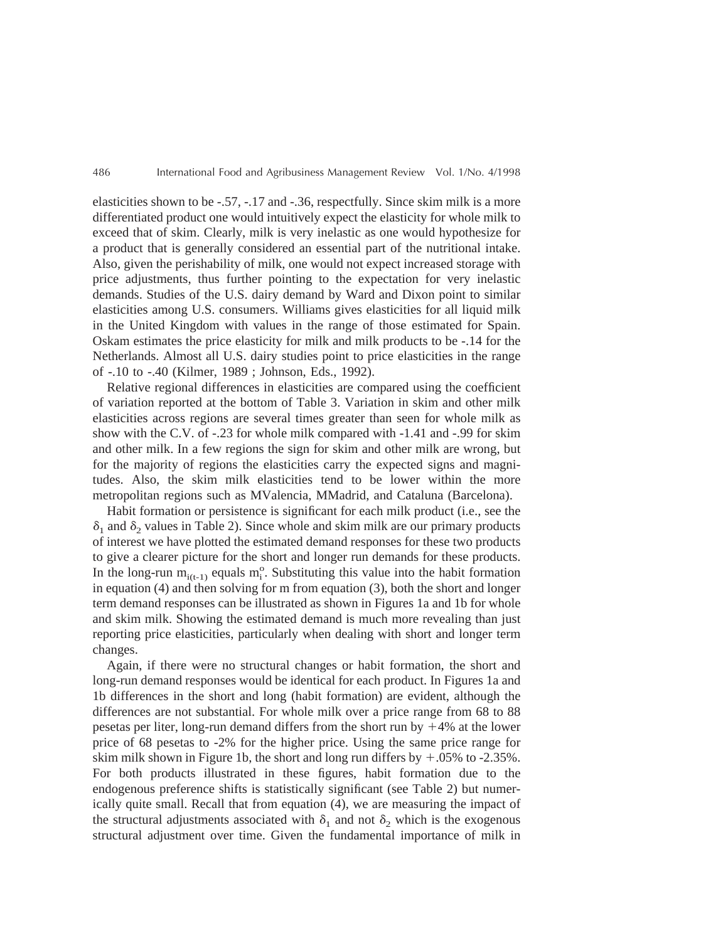elasticities shown to be -.57, -.17 and -.36, respectfully. Since skim milk is a more differentiated product one would intuitively expect the elasticity for whole milk to exceed that of skim. Clearly, milk is very inelastic as one would hypothesize for a product that is generally considered an essential part of the nutritional intake. Also, given the perishability of milk, one would not expect increased storage with price adjustments, thus further pointing to the expectation for very inelastic demands. Studies of the U.S. dairy demand by Ward and Dixon point to similar elasticities among U.S. consumers. Williams gives elasticities for all liquid milk in the United Kingdom with values in the range of those estimated for Spain. Oskam estimates the price elasticity for milk and milk products to be -.14 for the Netherlands. Almost all U.S. dairy studies point to price elasticities in the range of -.10 to -.40 (Kilmer, 1989 ; Johnson, Eds., 1992).

Relative regional differences in elasticities are compared using the coefficient of variation reported at the bottom of Table 3. Variation in skim and other milk elasticities across regions are several times greater than seen for whole milk as show with the C.V. of -.23 for whole milk compared with -1.41 and -.99 for skim and other milk. In a few regions the sign for skim and other milk are wrong, but for the majority of regions the elasticities carry the expected signs and magnitudes. Also, the skim milk elasticities tend to be lower within the more metropolitan regions such as MValencia, MMadrid, and Cataluna (Barcelona).

Habit formation or persistence is significant for each milk product (i.e., see the  $\delta_1$  and  $\delta_2$  values in Table 2). Since whole and skim milk are our primary products of interest we have plotted the estimated demand responses for these two products to give a clearer picture for the short and longer run demands for these products. In the long-run  $m_{i(t-1)}$  equals  $m_i^{\circ}$ . Substituting this value into the habit formation in equation (4) and then solving for m from equation (3), both the short and longer term demand responses can be illustrated as shown in Figures 1a and 1b for whole and skim milk. Showing the estimated demand is much more revealing than just reporting price elasticities, particularly when dealing with short and longer term changes.

Again, if there were no structural changes or habit formation, the short and long-run demand responses would be identical for each product. In Figures 1a and 1b differences in the short and long (habit formation) are evident, although the differences are not substantial. For whole milk over a price range from 68 to 88 pesetas per liter, long-run demand differs from the short run by  $+4%$  at the lower price of 68 pesetas to -2% for the higher price. Using the same price range for skim milk shown in Figure 1b, the short and long run differs by  $+.05\%$  to  $-2.35\%$ . For both products illustrated in these figures, habit formation due to the endogenous preference shifts is statistically significant (see Table 2) but numerically quite small. Recall that from equation (4), we are measuring the impact of the structural adjustments associated with  $\delta_1$  and not  $\delta_2$  which is the exogenous structural adjustment over time. Given the fundamental importance of milk in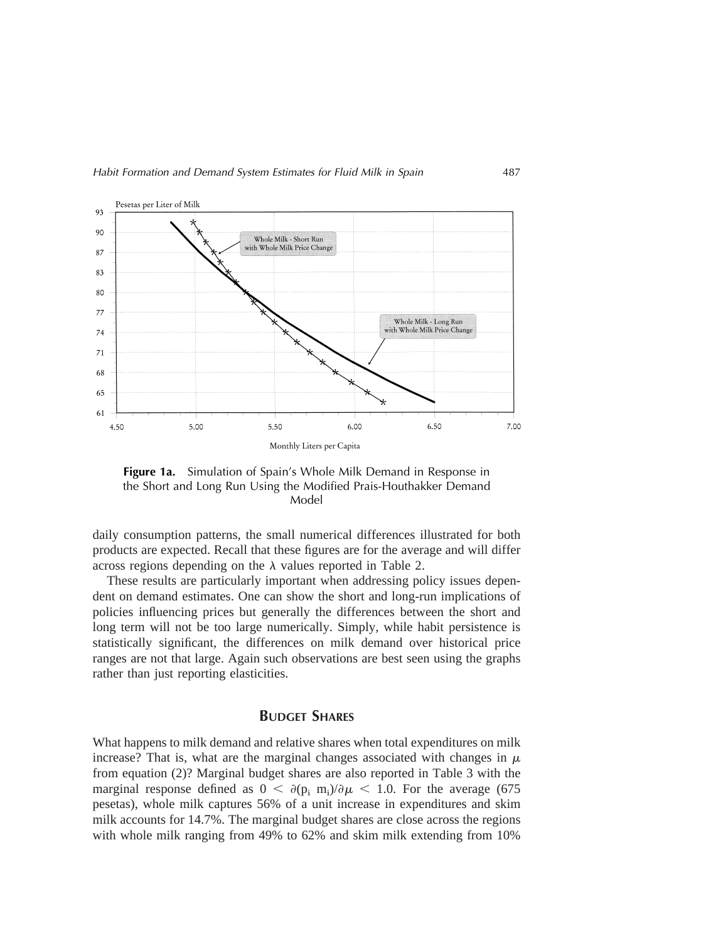

**Figure 1a.** Simulation of Spain's Whole Milk Demand in Response in the Short and Long Run Using the Modified Prais-Houthakker Demand Model

daily consumption patterns, the small numerical differences illustrated for both products are expected. Recall that these figures are for the average and will differ across regions depending on the  $\lambda$  values reported in Table 2.

These results are particularly important when addressing policy issues dependent on demand estimates. One can show the short and long-run implications of policies influencing prices but generally the differences between the short and long term will not be too large numerically. Simply, while habit persistence is statistically significant, the differences on milk demand over historical price ranges are not that large. Again such observations are best seen using the graphs rather than just reporting elasticities.

#### **BUDGET SHARES**

What happens to milk demand and relative shares when total expenditures on milk increase? That is, what are the marginal changes associated with changes in  $\mu$ from equation (2)? Marginal budget shares are also reported in Table 3 with the marginal response defined as  $0 < \partial(p_i m_i)/\partial \mu < 1.0$ . For the average (675) pesetas), whole milk captures 56% of a unit increase in expenditures and skim milk accounts for 14.7%. The marginal budget shares are close across the regions with whole milk ranging from 49% to 62% and skim milk extending from 10%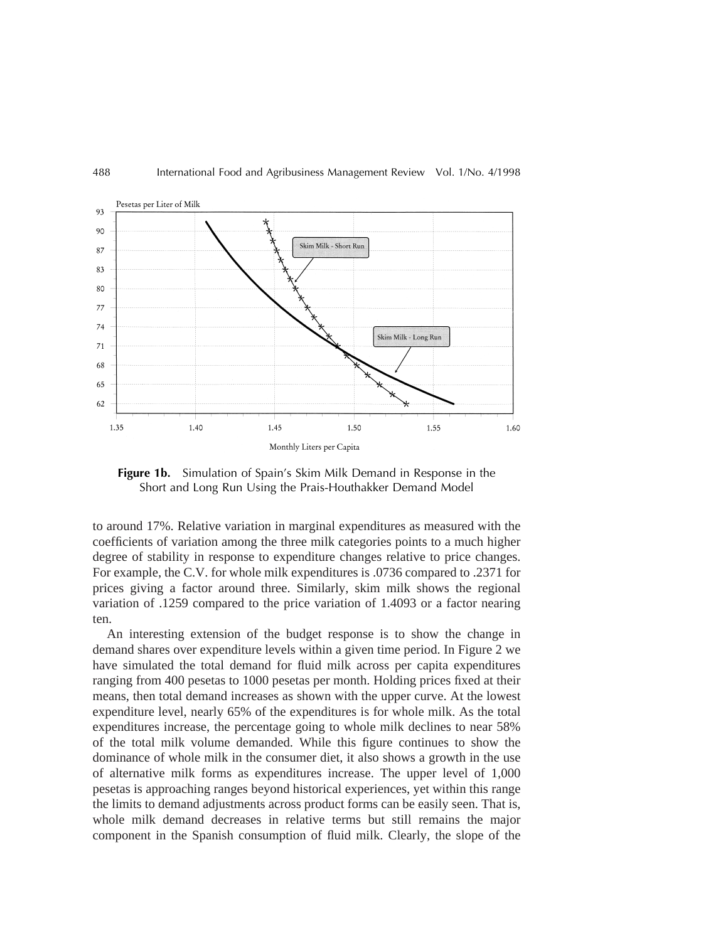

**Figure 1b.** Simulation of Spain's Skim Milk Demand in Response in the Short and Long Run Using the Prais-Houthakker Demand Model

to around 17%. Relative variation in marginal expenditures as measured with the coefficients of variation among the three milk categories points to a much higher degree of stability in response to expenditure changes relative to price changes. For example, the C.V. for whole milk expenditures is .0736 compared to .2371 for prices giving a factor around three. Similarly, skim milk shows the regional variation of .1259 compared to the price variation of 1.4093 or a factor nearing ten.

An interesting extension of the budget response is to show the change in demand shares over expenditure levels within a given time period. In Figure 2 we have simulated the total demand for fluid milk across per capita expenditures ranging from 400 pesetas to 1000 pesetas per month. Holding prices fixed at their means, then total demand increases as shown with the upper curve. At the lowest expenditure level, nearly 65% of the expenditures is for whole milk. As the total expenditures increase, the percentage going to whole milk declines to near 58% of the total milk volume demanded. While this figure continues to show the dominance of whole milk in the consumer diet, it also shows a growth in the use of alternative milk forms as expenditures increase. The upper level of 1,000 pesetas is approaching ranges beyond historical experiences, yet within this range the limits to demand adjustments across product forms can be easily seen. That is, whole milk demand decreases in relative terms but still remains the major component in the Spanish consumption of fluid milk. Clearly, the slope of the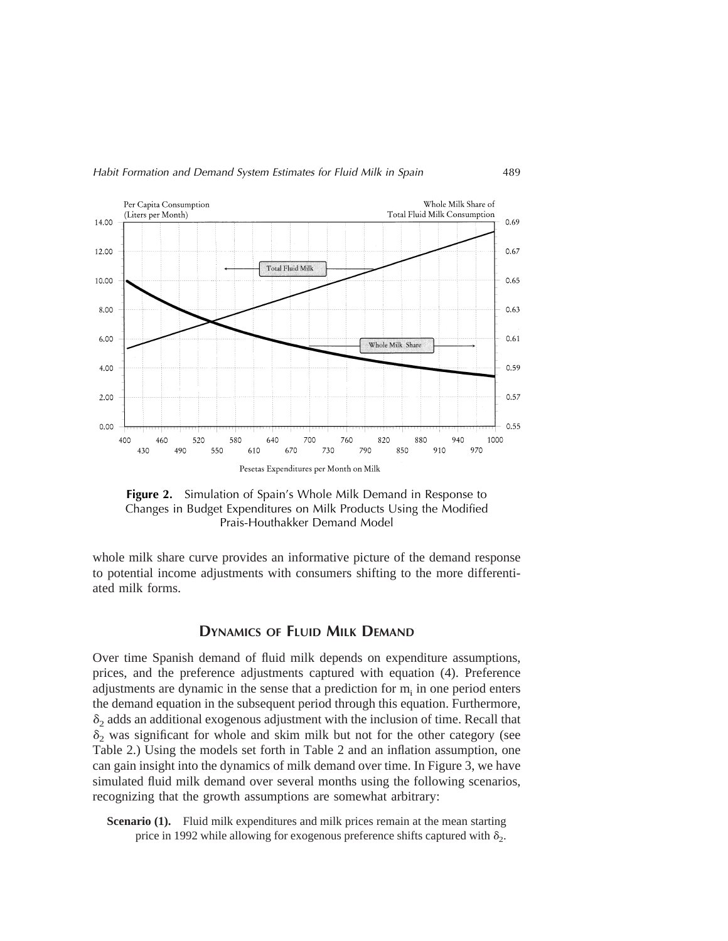

**Figure 2.** Simulation of Spain's Whole Milk Demand in Response to Changes in Budget Expenditures on Milk Products Using the Modified Prais-Houthakker Demand Model

whole milk share curve provides an informative picture of the demand response to potential income adjustments with consumers shifting to the more differentiated milk forms.

#### **DYNAMICS OF FLUID MILK DEMAND**

Over time Spanish demand of fluid milk depends on expenditure assumptions, prices, and the preference adjustments captured with equation (4). Preference adjustments are dynamic in the sense that a prediction for  $m<sub>i</sub>$  in one period enters the demand equation in the subsequent period through this equation. Furthermore,  $\delta_2$  adds an additional exogenous adjustment with the inclusion of time. Recall that  $\delta_2$  was significant for whole and skim milk but not for the other category (see Table 2.) Using the models set forth in Table 2 and an inflation assumption, one can gain insight into the dynamics of milk demand over time. In Figure 3, we have simulated fluid milk demand over several months using the following scenarios, recognizing that the growth assumptions are somewhat arbitrary:

**Scenario (1).** Fluid milk expenditures and milk prices remain at the mean starting price in 1992 while allowing for exogenous preference shifts captured with  $\delta_2$ .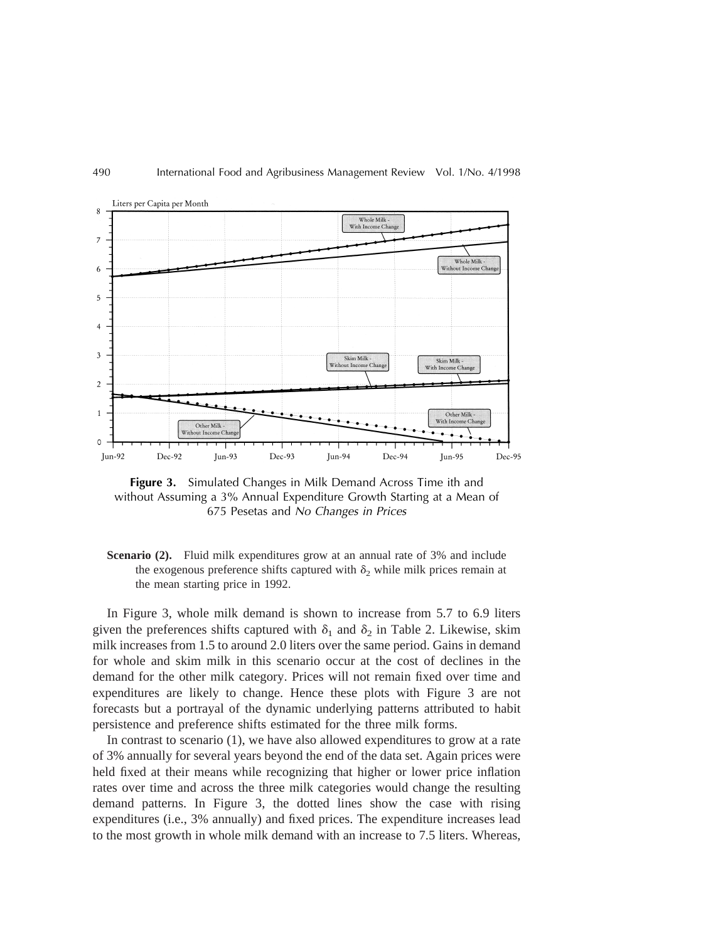

**Figure 3.** Simulated Changes in Milk Demand Across Time ith and without Assuming a 3% Annual Expenditure Growth Starting at a Mean of 675 Pesetas and No Changes in Prices

**Scenario (2).** Fluid milk expenditures grow at an annual rate of 3% and include the exogenous preference shifts captured with  $\delta_2$  while milk prices remain at the mean starting price in 1992.

In Figure 3, whole milk demand is shown to increase from 5.7 to 6.9 liters given the preferences shifts captured with  $\delta_1$  and  $\delta_2$  in Table 2. Likewise, skim milk increases from 1.5 to around 2.0 liters over the same period. Gains in demand for whole and skim milk in this scenario occur at the cost of declines in the demand for the other milk category. Prices will not remain fixed over time and expenditures are likely to change. Hence these plots with Figure 3 are not forecasts but a portrayal of the dynamic underlying patterns attributed to habit persistence and preference shifts estimated for the three milk forms.

In contrast to scenario (1), we have also allowed expenditures to grow at a rate of 3% annually for several years beyond the end of the data set. Again prices were held fixed at their means while recognizing that higher or lower price inflation rates over time and across the three milk categories would change the resulting demand patterns. In Figure 3, the dotted lines show the case with rising expenditures (i.e., 3% annually) and fixed prices. The expenditure increases lead to the most growth in whole milk demand with an increase to 7.5 liters. Whereas,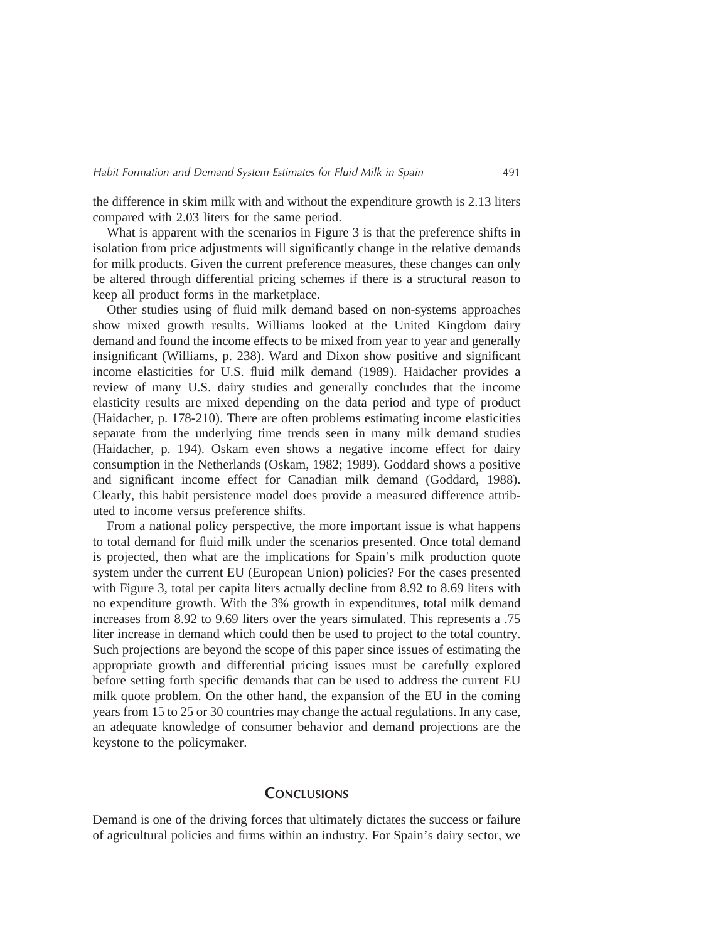the difference in skim milk with and without the expenditure growth is 2.13 liters compared with 2.03 liters for the same period.

What is apparent with the scenarios in Figure 3 is that the preference shifts in isolation from price adjustments will significantly change in the relative demands for milk products. Given the current preference measures, these changes can only be altered through differential pricing schemes if there is a structural reason to keep all product forms in the marketplace.

Other studies using of fluid milk demand based on non-systems approaches show mixed growth results. Williams looked at the United Kingdom dairy demand and found the income effects to be mixed from year to year and generally insignificant (Williams, p. 238). Ward and Dixon show positive and significant income elasticities for U.S. fluid milk demand (1989). Haidacher provides a review of many U.S. dairy studies and generally concludes that the income elasticity results are mixed depending on the data period and type of product (Haidacher, p. 178-210). There are often problems estimating income elasticities separate from the underlying time trends seen in many milk demand studies (Haidacher, p. 194). Oskam even shows a negative income effect for dairy consumption in the Netherlands (Oskam, 1982; 1989). Goddard shows a positive and significant income effect for Canadian milk demand (Goddard, 1988). Clearly, this habit persistence model does provide a measured difference attributed to income versus preference shifts.

From a national policy perspective, the more important issue is what happens to total demand for fluid milk under the scenarios presented. Once total demand is projected, then what are the implications for Spain's milk production quote system under the current EU (European Union) policies? For the cases presented with Figure 3, total per capita liters actually decline from 8.92 to 8.69 liters with no expenditure growth. With the 3% growth in expenditures, total milk demand increases from 8.92 to 9.69 liters over the years simulated. This represents a .75 liter increase in demand which could then be used to project to the total country. Such projections are beyond the scope of this paper since issues of estimating the appropriate growth and differential pricing issues must be carefully explored before setting forth specific demands that can be used to address the current EU milk quote problem. On the other hand, the expansion of the EU in the coming years from 15 to 25 or 30 countries may change the actual regulations. In any case, an adequate knowledge of consumer behavior and demand projections are the keystone to the policymaker.

#### **CONCLUSIONS**

Demand is one of the driving forces that ultimately dictates the success or failure of agricultural policies and firms within an industry. For Spain's dairy sector, we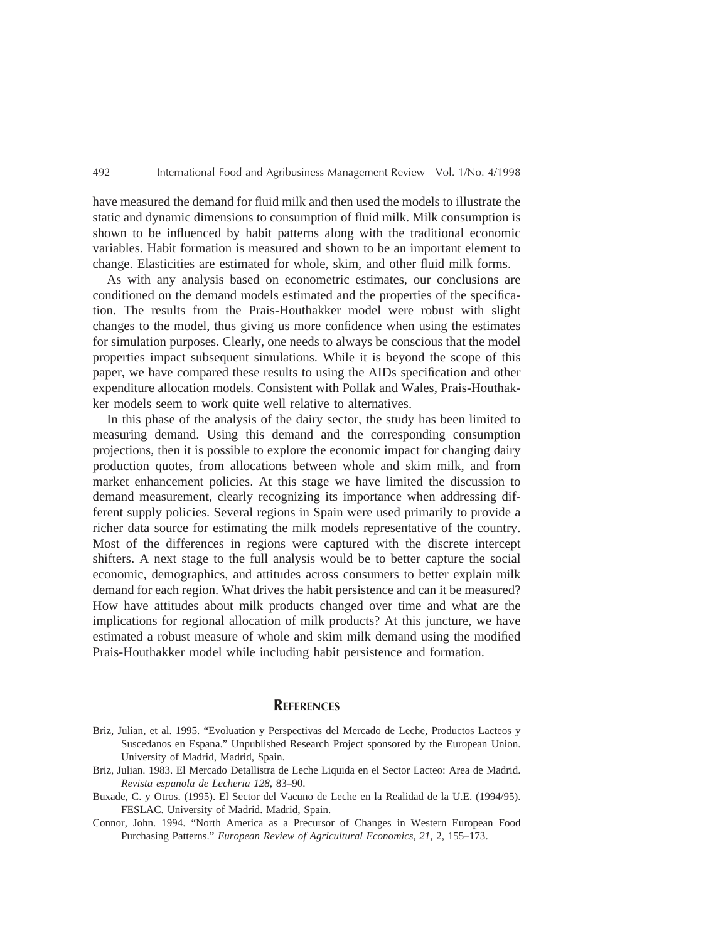have measured the demand for fluid milk and then used the models to illustrate the static and dynamic dimensions to consumption of fluid milk. Milk consumption is shown to be influenced by habit patterns along with the traditional economic variables. Habit formation is measured and shown to be an important element to change. Elasticities are estimated for whole, skim, and other fluid milk forms.

As with any analysis based on econometric estimates, our conclusions are conditioned on the demand models estimated and the properties of the specification. The results from the Prais-Houthakker model were robust with slight changes to the model, thus giving us more confidence when using the estimates for simulation purposes. Clearly, one needs to always be conscious that the model properties impact subsequent simulations. While it is beyond the scope of this paper, we have compared these results to using the AIDs specification and other expenditure allocation models. Consistent with Pollak and Wales, Prais-Houthakker models seem to work quite well relative to alternatives.

In this phase of the analysis of the dairy sector, the study has been limited to measuring demand. Using this demand and the corresponding consumption projections, then it is possible to explore the economic impact for changing dairy production quotes, from allocations between whole and skim milk, and from market enhancement policies. At this stage we have limited the discussion to demand measurement, clearly recognizing its importance when addressing different supply policies. Several regions in Spain were used primarily to provide a richer data source for estimating the milk models representative of the country. Most of the differences in regions were captured with the discrete intercept shifters. A next stage to the full analysis would be to better capture the social economic, demographics, and attitudes across consumers to better explain milk demand for each region. What drives the habit persistence and can it be measured? How have attitudes about milk products changed over time and what are the implications for regional allocation of milk products? At this juncture, we have estimated a robust measure of whole and skim milk demand using the modified Prais-Houthakker model while including habit persistence and formation.

## **REFERENCES**

- Briz, Julian, et al. 1995. "Evoluation y Perspectivas del Mercado de Leche, Productos Lacteos y Suscedanos en Espana." Unpublished Research Project sponsored by the European Union. University of Madrid, Madrid, Spain.
- Briz, Julian. 1983. El Mercado Detallistra de Leche Liquida en el Sector Lacteo: Area de Madrid. *Revista espanola de Lecheria 128*, 83–90.
- Buxade, C. y Otros. (1995). El Sector del Vacuno de Leche en la Realidad de la U.E. (1994/95). FESLAC. University of Madrid. Madrid, Spain.
- Connor, John. 1994. "North America as a Precursor of Changes in Western European Food Purchasing Patterns." *European Review of Agricultural Economics, 21*, 2, 155–173.